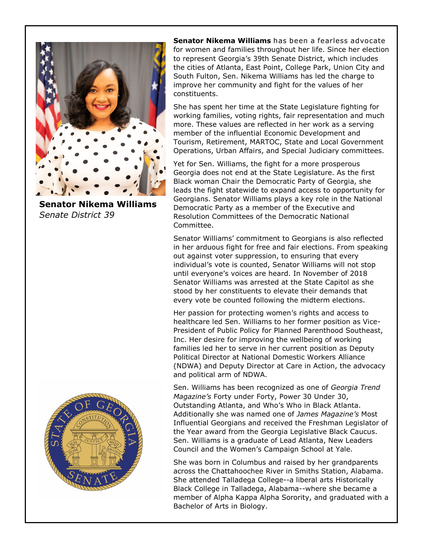

**Senator Nikema Williams** *Senate District 39*



**Senator Nikema Williams** has been a fearless advocate for women and families throughout her life. Since her election to represent Georgia's 39th Senate District, which includes the cities of Atlanta, East Point, College Park, Union City and South Fulton, Sen. Nikema Williams has led the charge to improve her community and fight for the values of her constituents.

She has spent her time at the State Legislature fighting for working families, voting rights, fair representation and much more. These values are reflected in her work as a serving member of the influential Economic Development and Tourism, Retirement, MARTOC, State and Local Government Operations, Urban Affairs, and Special Judiciary committees.

Yet for Sen. Williams, the fight for a more prosperous Georgia does not end at the State Legislature. As the first Black woman Chair the Democratic Party of Georgia, she leads the fight statewide to expand access to opportunity for Georgians. Senator Williams plays a key role in the National Democratic Party as a member of the Executive and Resolution Committees of the Democratic National Committee.

Senator Williams' commitment to Georgians is also reflected in her arduous fight for free and fair elections. From speaking out against voter suppression, to ensuring that every individual's vote is counted, Senator Williams will not stop until everyone's voices are heard. In November of 2018 Senator Williams was arrested at the State Capitol as she stood by her constituents to elevate their demands that every vote be counted following the midterm elections.

Her passion for protecting women's rights and access to healthcare led Sen. Williams to her former position as Vice-President of Public Policy for Planned Parenthood Southeast, Inc. Her desire for improving the wellbeing of working families led her to serve in her current position as Deputy Political Director at National Domestic Workers Alliance (NDWA) and Deputy Director at Care in Action, the advocacy and political arm of NDWA.

Sen. Williams has been recognized as one of *Georgia Trend Magazine's* Forty under Forty, Power 30 Under 30, Outstanding Atlanta, and Who's Who in Black Atlanta. Additionally she was named one of *James Magazine's* Most Influential Georgians and received the Freshman Legislator of the Year award from the Georgia Legislative Black Caucus. Sen. Williams is a graduate of Lead Atlanta, New Leaders Council and the Women's Campaign School at Yale.

She was born in Columbus and raised by her grandparents across the Chattahoochee River in Smiths Station, Alabama. She attended Talladega College--a liberal arts Historically Black College in Talladega, Alabama--where she became a member of Alpha Kappa Alpha Sorority, and graduated with a Bachelor of Arts in Biology.